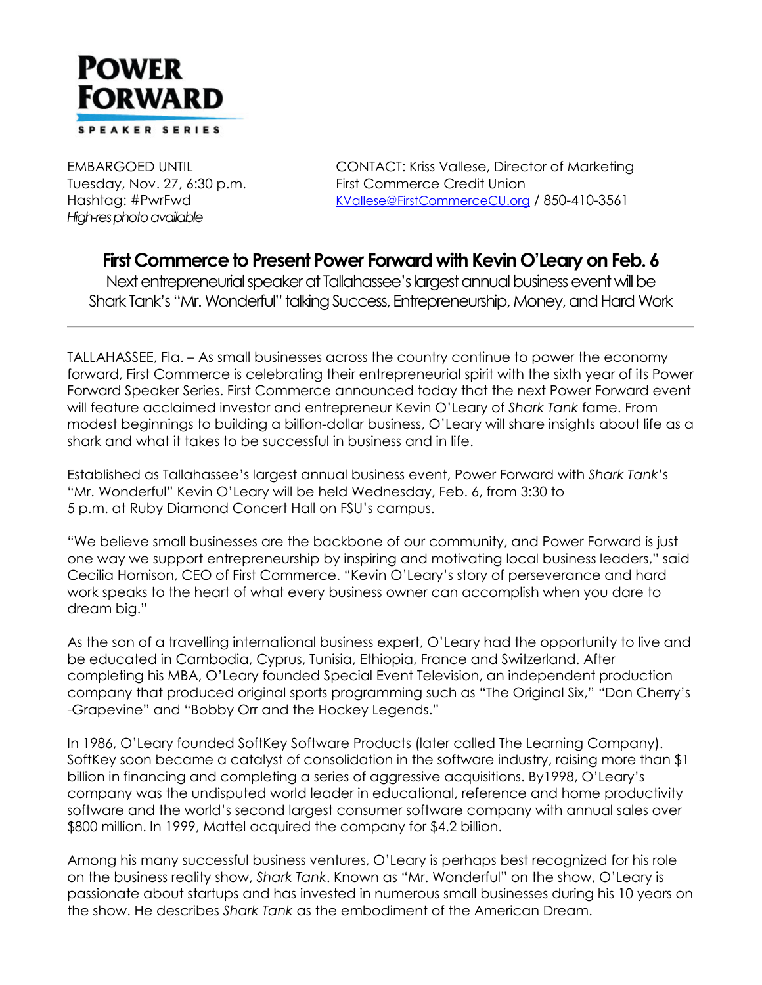

*High-res photo available*

EMBARGOED UNTIL CONTACT: Kriss Vallese, Director of Marketing Tuesday, Nov. 27, 6:30 p.m. First Commerce Credit Union Hashtag: #PwrFwd [KVallese@FirstCommerceCU.org](mailto:KVallese@FirstCommerceCU.org) / 850-410-3561

## **First Commerce to Present Power Forward with Kevin O'Leary on Feb. 6**

Next entrepreneurial speaker at Tallahassee's largest annual business event will be Shark Tank's "Mr. Wonderful" talking Success, Entrepreneurship, Money, and Hard Work

TALLAHASSEE, Fla. – As small businesses across the country continue to power the economy forward, First Commerce is celebrating their entrepreneurial spirit with the sixth year of its Power Forward Speaker Series. First Commerce announced today that the next Power Forward event will feature acclaimed investor and entrepreneur Kevin O'Leary of *Shark Tank* fame. From modest beginnings to building a billion-dollar business, O'Leary will share insights about life as a shark and what it takes to be successful in business and in life.

Established as Tallahassee's largest annual business event, Power Forward with *Shark Tank*'s "Mr. Wonderful" Kevin O'Leary will be held Wednesday, Feb. 6, from 3:30 to 5 p.m. at Ruby Diamond Concert Hall on FSU's campus.

"We believe small businesses are the backbone of our community, and Power Forward is just one way we support entrepreneurship by inspiring and motivating local business leaders," said Cecilia Homison, CEO of First Commerce. "Kevin O'Leary's story of perseverance and hard work speaks to the heart of what every business owner can accomplish when you dare to dream big."

As the son of a travelling international business expert, O'Leary had the opportunity to live and be educated in Cambodia, Cyprus, Tunisia, Ethiopia, France and Switzerland. After completing his MBA, O'Leary founded Special Event Television, an independent production company that produced original sports programming such as "The Original Six," "Don Cherry's -Grapevine" and "Bobby Orr and the Hockey Legends."

In 1986, O'Leary founded SoftKey Software Products (later called The Learning Company). SoftKey soon became a catalyst of consolidation in the software industry, raising more than \$1 billion in financing and completing a series of aggressive acquisitions. By1998, O'Leary's company was the undisputed world leader in educational, reference and home productivity software and the world's second largest consumer software company with annual sales over \$800 million. In 1999, Mattel acquired the company for \$4.2 billion.

Among his many successful business ventures, O'Leary is perhaps best recognized for his role on the business reality show, *Shark Tank*. Known as "Mr. Wonderful" on the show, O'Leary is passionate about startups and has invested in numerous small businesses during his 10 years on the show. He describes *Shark Tank* as the embodiment of the American Dream.